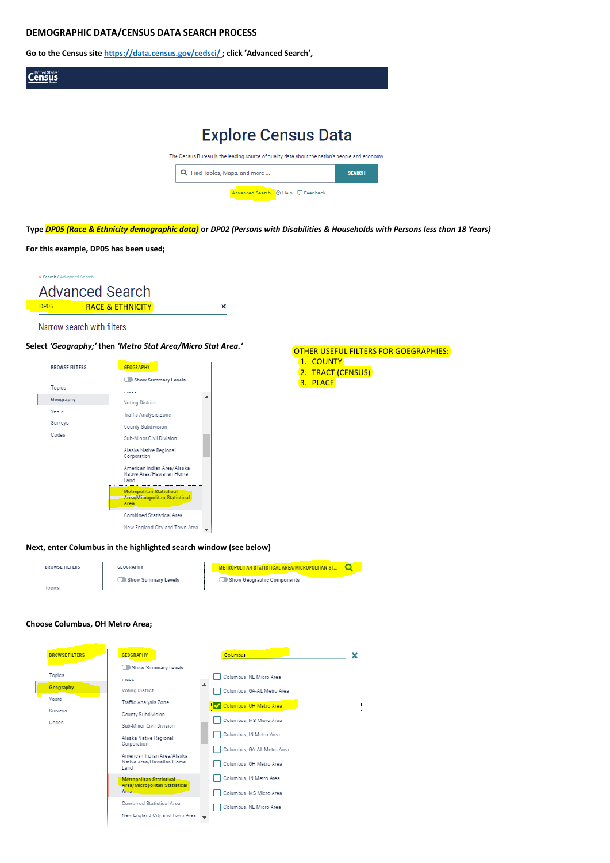### **DEMOGRAPHIC DATA/CENSUS DATA SEARCH PROCESS**

**Go to the Census sit[e https://data.census.gov/cedsci/](https://gcc01.safelinks.protection.outlook.com/?url=https%3A%2F%2Fdata.census.gov%2Fcedsci%2F&data=04%7C01%7Cpzinn%40ohiohome.org%7C4c3547aafb654a52c3aa08d8dd8d3172%7C50f8fcc494d84f0784eb36ed57c7c8a2%7C0%7C1%7C637502946070606227%7CUnknown%7CTWFpbGZsb3d8eyJWIjoiMC4wLjAwMDAiLCJQIjoiV2luMzIiLCJBTiI6Ik1haWwiLCJXVCI6Mn0%3D%7C2000&sdata=0XnqLt6lFs6pKSZgqg8mKqFpCw2YVyyp6prHlkRQpRI%3D&reserved=0) ; click 'Advanced Search',** 



**Next, enter Columbus in the highlighted search window (see below)** 





## **Choose Columbus, OH Metro Area;**







Show Summary Levels

**COMMA** 

Voting District Traffic Analysis Zone

County Subdivision

Sub-Minor Civil Division

Alaska Native Regional Corporation

American Indian Area/Alaska Native Area/Hawaiian Home Land

olitan Statistical Metro Area/Micropolitan Statistical Area.

Combined Statistical Area

New England City and Town Area

Columbus ×

Columbus, NE Micro Area

Columbus, GA-AL Metro Area

Columbus, OH Metro Area

Columbus, MS Micro Area

Columbus, IN Metro Area

Columbus, GA-AL Metro Area



Columbus, IN Metro Area

Columbus, MS Micro Area

Columbus, NE Micro Area

## OTHER USEFUL FILTERS FOR GOEGRAPHIES:

- 1. COUNTY
- 2. TRACT (CENSUS)
- 3. PLACE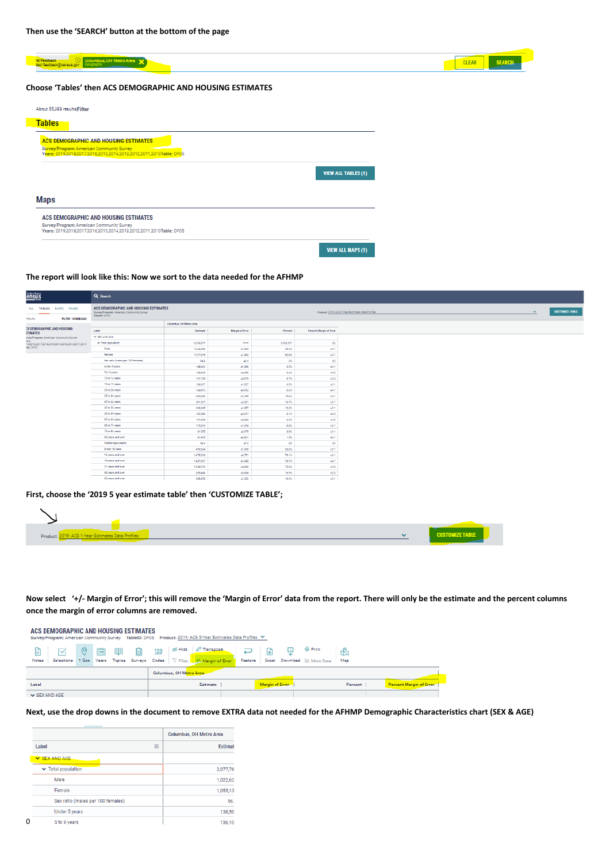| <b>SEARCH</b><br><b>CLEAR</b> |
|-------------------------------|
|                               |
|                               |
|                               |
|                               |
|                               |
|                               |
|                               |
|                               |
|                               |
|                               |

#### **The report will look like this: Now we sort to the data needed for the AFHMP**

| United States                                                | Q Search                                                                                            |                         |                 |           |                         |                                                                   |                        |
|--------------------------------------------------------------|-----------------------------------------------------------------------------------------------------|-------------------------|-----------------|-----------|-------------------------|-------------------------------------------------------------------|------------------------|
| ALL TABLES MAPS PAGES<br><b>FILTER   DOWNLOAD</b><br>Results | ACS DEMOGRAPHIC AND HOUSING ESTIMATES<br>Survey/Program: American Community Survey<br>TableID: DP05 |                         |                 |           |                         | $\mathbf{v}$<br>Product: 2019: ACS 1-Year Estimates Data Profiles | <b>CUSTOMIZE TABLE</b> |
|                                                              |                                                                                                     | Columbus, OH Metro Area |                 |           |                         |                                                                   |                        |
| <b>CS DEMOGRAPHIC AND HOUSING</b><br><b>STIMATES</b>         | Label                                                                                               | Estimate                | Margin of Error | Percent   | Percent Margin of Error |                                                                   |                        |
| rvey/Program: American Community Survey                      | Y SEX AND AGE                                                                                       |                         |                 |           |                         |                                                                   |                        |
| ars:<br>19,2018,2017,2016,2015,2014,2013,2012,2011,2010      | v Total population                                                                                  | 2,122,271               | \$9599          | 2,122,271 | (X)                     |                                                                   |                        |
| ble: DP05                                                    | Male                                                                                                | 1,044,396               | ±1,963          | 49.2%     | $\pm 0.1$               |                                                                   |                        |
|                                                              | Female                                                                                              | 1,077,875               | ±1,963          | 50.8%     | $\pm 0.1$               |                                                                   |                        |
|                                                              | Sex ratio (males per 100 females)                                                                   | 96.9                    | ±0.4            | (x)       | (X)                     |                                                                   |                        |
|                                                              | Under 5 years                                                                                       | 138,660                 | ±1,396          | 6.5%      | $\pm 0.1$               |                                                                   |                        |
|                                                              | 5 to 9 years                                                                                        | 134,823                 | ±4,396          | 6.4%      | ±0.2                    |                                                                   |                        |
|                                                              | 10 to 14 years                                                                                      | 141,725                 | ±4,579          | 6.7%      | $\pm 0.2$               |                                                                   |                        |
|                                                              | 15 to 19 years                                                                                      | 138,307                 | ±1,927          | 6.5%      | ±0.1                    |                                                                   |                        |
|                                                              | 20 to 24 years                                                                                      | 134,974                 | ±2,504          | 6.4%      | ±0.1                    |                                                                   |                        |
|                                                              | 25 to 34 years                                                                                      | 330,066                 | ±1,789          | 15.6%     | ±0.1                    |                                                                   |                        |
|                                                              | 35 to 44 years                                                                                      | 291,207                 | ±2,291          | 13.7%     | ±0.1                    |                                                                   |                        |
|                                                              | 45 to 54 years                                                                                      | 266,635                 | ±1,857          | 12.6%     | $\pm 0.1$               |                                                                   |                        |
|                                                              | 55 to 59 years                                                                                      | 130,286                 | ±4,317          | 6.1%      | $\pm 0.2$               |                                                                   |                        |
|                                                              | 60 to 64 years                                                                                      | 127,235                 | ±4,262          | 6.0%      | ±0.2                    |                                                                   |                        |
|                                                              | 65 to 74 years                                                                                      | 175,373                 | ±1,294          | 8.3%      | $\pm 0.1$               |                                                                   |                        |
|                                                              | 75 to 84 years                                                                                      | 81,055                  | ±2,479          | 3.8%      | ±0.1                    |                                                                   |                        |
|                                                              | 85 years and over                                                                                   | 31,925                  | ±2,301          | 1.5%      | $\pm 0.1$               |                                                                   |                        |
|                                                              | Median age (years)                                                                                  | 36.4                    | ±0.2            | (x)       | (x)                     |                                                                   |                        |
|                                                              | Under 18 years                                                                                      | 495,264                 | ±1,085          | 23.3%     | ±0.1                    |                                                                   |                        |
|                                                              | 16 years and over                                                                                   | 1,678,203               | ±2,751          | 79.1%     | $\pm 0.1$               |                                                                   |                        |
|                                                              | 18 years and over                                                                                   | 1,627,007               | ±1,085          | 76.7%     | ±0.1                    |                                                                   |                        |
|                                                              | 21 years and over                                                                                   | 1,538,076               | ±3,868          | 72.5%     | ±0.2                    |                                                                   |                        |
|                                                              | 62 years and over                                                                                   | 359,445                 | ±3,654          | 16.9%     | $\pm 0.2$               |                                                                   |                        |
|                                                              | 65 years and over                                                                                   | 288,353                 | ±1,222          | 13.6%     | ±0.1                    |                                                                   |                        |

| ~ 0019: ACS 1-Year Estimates Data Profiles<br>Product | <b>CUSTOMIZE TABLE</b> |
|-------------------------------------------------------|------------------------|
|                                                       |                        |

**Now select '+/- Margin of Error'; this will remove the 'Margin of Error' data from the report. There will only be the estimate and the percent columns once the margin of error columns are removed.** 

|                    | ACS DEMOGRAPHIC AND HOUSING ESTIMATES |   |   |    |    |     |                         | Survey/Program: American Community Survey TableID: DP05 Product: 2019: ACS 5-Year Estimates Data Profiles ₩ |         |                 |                                                      |         |                         |  |
|--------------------|---------------------------------------|---|---|----|----|-----|-------------------------|-------------------------------------------------------------------------------------------------------------|---------|-----------------|------------------------------------------------------|---------|-------------------------|--|
| 閶<br>Notes         |                                       | ⊚ | 菌 | 目目 | 一面 | 123 | o≶ Hide                 | d <sup>ti</sup> Transpose<br>Selections 1 Geo Years Topics Surveys Codes   7 Filter   1/4 Margin of Error   | Restore |                 | <b>Print</b><br>Excel Download [iii] More Data   Map | ₩       |                         |  |
|                    |                                       |   |   |    |    |     | Columbus, OH Metro Area |                                                                                                             |         |                 |                                                      |         |                         |  |
| Label              |                                       |   |   |    |    |     |                         | Estimate                                                                                                    |         | Margin of Error |                                                      | Percent | Percent Margin of Error |  |
| $\vee$ SEX AND AGE |                                       |   |   |    |    |     |                         |                                                                                                             |         |                 |                                                      |         |                         |  |

**Next, use the drop downs in the document to remove EXTRA data not needed for the AFHMP Demographic Characteristics chart (SEX & AGE)**

|                                        |               | <b>Columbus, OH Metro Area</b> |
|----------------------------------------|---------------|--------------------------------|
| Label                                  | -<br>$\equiv$ | <b>Estimat</b>                 |
| SEX AND AGE                            |               |                                |
| $\blacktriangleright$ Total population |               | 2,077,76                       |
| Male                                   |               | 1,022,62                       |
| Female                                 |               | 1,055,13                       |
| Sex ratio (males per 100 females)      |               | 96.                            |
| Under 5 years                          |               | 138,50                         |
| 5 to 9 years                           |               | 136.10                         |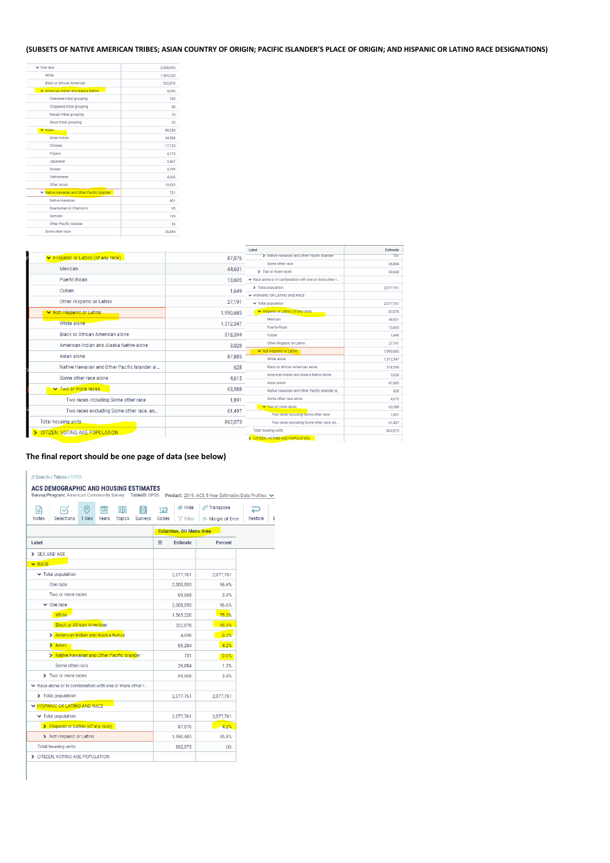# **(SUBSETS OF NATIVE AMERICAN TRIBES; ASIAN COUNTRY OF ORIGIN; PACIFIC ISLANDER'S PLACE OF ORIGIN; AND HISPANIC OR LATINO RACE DESIGNATIONS)**

| $\vee$ One race                              | 2,008,093 |
|----------------------------------------------|-----------|
| White                                        | 1,565,220 |
| <b>Black or African American</b>             | 322,878   |
| ▼ American Indian and Alaska Native          | 4.096     |
| Cherokee tribal grouping                     | 745       |
| Chippewa tribal grouping                     | 40        |
| Navajo tribal grouping                       | 76        |
| Sioux tribal grouping                        | 35        |
| $\vee$ Asian                                 | 88,284    |
| Asian Indian                                 | 34,588    |
| Chinese                                      | 17,120    |
| Filipino                                     | 4,173     |
| Japanese                                     | 3,467     |
| Korean                                       | 4.799     |
| Vietnamese                                   | 4,202     |
| <b>Other Asian</b>                           | 19,935    |
| ↓ Native Hawaiian and Other Pacific Islander | 731       |
| Native Hawaiian                              | 401       |
| <b>Guamanian or Chamorro</b>                 | 95        |
| Samoan                                       | 199       |
| Other Pacific Islander                       | 36        |
| Some other race                              | 26,884    |

|                                               |           | Label                                                 | <b>Estimate</b> |
|-----------------------------------------------|-----------|-------------------------------------------------------|-----------------|
| V Hispanic or Latino (of any race)            | 87,076    | > Native Hawaiian and Other Pacific Islander          | 731             |
| Mexican                                       | 44,631    | Some other race                                       | 26,884          |
|                                               |           | > Two or more races                                   | 69,668          |
| <b>Puerto Rican</b>                           | 13,605    | Race alone or in combination with one or more other r |                 |
| Cuban                                         | 1,649     | > Total population                                    | 2,077,761       |
|                                               |           | ← HISPANIC OR LATINO AND RACE                         |                 |
| Other Hispanic or Latino                      | 27,191    | v Total population                                    | 2,077,761       |
| ▼ Not Hispanic or Latino                      | 1,990,685 | Hispanic or Latino (of any race)                      | 87,076          |
| White alone                                   | 1,512,547 | Mexican                                               | 44,631          |
|                                               |           | Puerto Rican                                          | 13,605          |
| <b>Black or African American alone</b>        | 318,594   | Cuban                                                 | 1,649           |
| American Indian and Alaska Native alone       | 3,028     | Other Hispanic or Latino                              | 27,191          |
| Asian alone                                   | 87,885    | ▼ Not Hispanic or Latino                              | 1,990,685       |
|                                               |           | White alone                                           | 1.512.547       |
| Native Hawaiian and Other Pacific Islander al | 628       | <b>Black or African American alone</b>                | 318,594         |
| Some other race alone                         | 4.615     | American Indian and Alaska Native alone               | 3,028           |
|                                               |           | Asian alone                                           | 87,885          |
| <b>V</b> Two or more races                    | 63,388    | Native Hawaiian and Other Pacific Islander al         | 628             |
| Two races including Some other race           | 1,891     | Some other race alone                                 | 4,615           |
| Two races excluding Some other race, an       | 61,497    | ▼ Two or more races                                   | 63,388          |
|                                               |           | Two races including Some other race                   | 1,891           |
| Total housing units                           | 862,073   | Two races excluding Some other race, an               | 61,497          |
| CITIZEN, VOTING AGE POPULATION                |           | <b>Total housing units</b>                            | 862.073         |
|                                               |           | <b>CITIZEN, VOTING AGE POPULATION</b>                 |                 |

# **The final report should be one page of data (see below)**

| // Search / Tables / DP05                                                                        |              |              |                                  |                                                     |                   |
|--------------------------------------------------------------------------------------------------|--------------|--------------|----------------------------------|-----------------------------------------------------|-------------------|
| ACS DEMOGRAPHIC AND HOUSING ESTIMATES<br>Survey/Program: American Community Survey TableID: DP05 |              |              |                                  | Product: 2019: ACS 5-Year Estimates Data Profiles ↓ |                   |
| B<br>閫<br>$\circ$<br>目目<br><b>Notes</b><br>Selections<br>1 Geo<br>Years<br><b>Topics</b>         | 间<br>Surveys | 123<br>Codes | <b>Ø</b> Hide<br>$\nabla$ Filter | ≰ <sup>B</sup> Transpose<br>↓ Margin of Error       | L<br>Restore<br>E |
|                                                                                                  |              |              | <b>Columbus, OH Metro Area</b>   |                                                     |                   |
| Label                                                                                            |              | ≡            | <b>Estimate</b>                  | <b>Percent</b>                                      |                   |
| SEX AND AGE                                                                                      |              |              |                                  |                                                     |                   |
| $\vee$ RACE                                                                                      |              |              |                                  |                                                     |                   |
| $\blacktriangleright$ Total population                                                           |              |              | 2,077,761                        | 2,077,761                                           |                   |
| One race                                                                                         |              |              | 2,008,093                        | 96.6%                                               |                   |
| Two or more races                                                                                |              |              | 69,668                           | 3.4%                                                |                   |
| $\vee$ One race                                                                                  |              |              | 2,008,093                        | 96.6%                                               |                   |
| <b>White</b>                                                                                     |              |              | 1,565,220                        | 75.3%                                               |                   |
| <b>Black or African American</b>                                                                 |              |              | 322,878                          | 15.5%                                               |                   |
| American Indian and Alaska Native<br>▸                                                           |              |              | 4.096                            | 0.2%                                                |                   |
| Asian<br>,                                                                                       |              |              | 88,284                           | 4.2%                                                |                   |
|                                                                                                  |              |              |                                  |                                                     |                   |

|                                                       | -----     | ------    |
|-------------------------------------------------------|-----------|-----------|
| > Native Hawaiian and Other Pacific Islander          | 731       | 0.0%      |
| Some other race                                       | 26,884    | 1.3%      |
| Two or more races<br>ъ.                               | 69,668    | 3.4%      |
| Race alone or in combination with one or more other r |           |           |
| <b>Total population</b><br>>                          | 2,077,761 | 2,077,761 |
| <b>HISPANIC OR LATINO AND RACE</b><br>$\checkmark$    |           |           |
| $\blacktriangleright$ Total population                | 2,077,761 | 2,077,761 |
| > Hispanic or Latino (of any race)                    | 87,076    | 4.2%      |
| Not Hispanic or Latino<br>>                           | 1,990,685 | 95.8%     |
| Total housing units                                   | 862,073   | (X)       |
| CITIZEN, VOTING AGE POPULATION                        |           |           |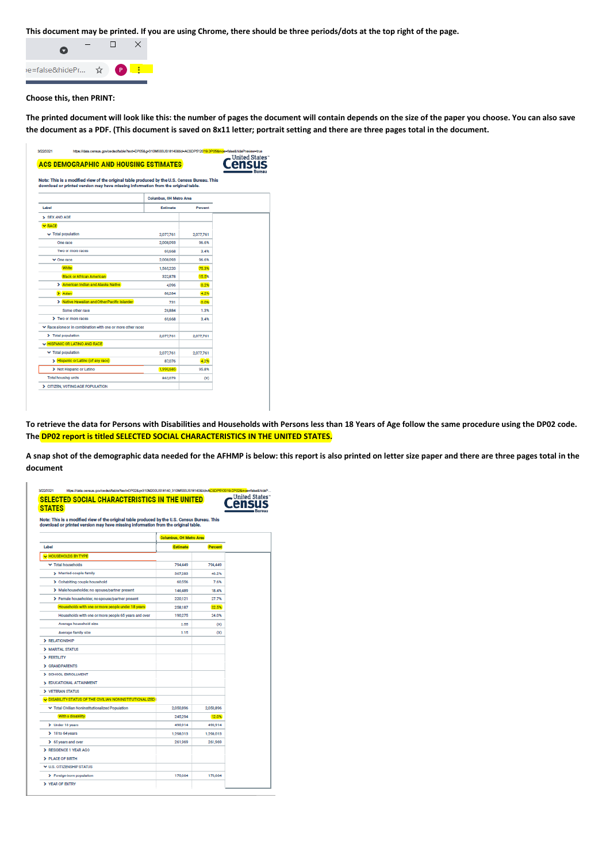**This document may be printed. If you are using Chrome, there should be three periods/dots at the top right of the page.** 



**Choose this, then PRINT:**

**The printed document will look like this: the number of pages the document will contain depends on the size of the paper you choose. You can also save the document as a PDF. (This document is saved on 8x11 letter; portrait setting and there are three pages total in the document.** 

| <b>ACS DEMOGRAPHIC AND HOUSING ESTIMATES</b><br>Note: This is a modified view of the original table produced by the U.S. Census Bureau. This<br>download or printed version may have missing information from the original table. |                         |           |  |
|-----------------------------------------------------------------------------------------------------------------------------------------------------------------------------------------------------------------------------------|-------------------------|-----------|--|
|                                                                                                                                                                                                                                   | Columbus, OH Metro Area |           |  |
| Label                                                                                                                                                                                                                             | Estimate                | Percent   |  |
| > SEX AND AGE                                                                                                                                                                                                                     |                         |           |  |
| <b>V RACE</b>                                                                                                                                                                                                                     |                         |           |  |
| v Total population                                                                                                                                                                                                                | 2,077,761               | 2077,761  |  |
| One race                                                                                                                                                                                                                          | 2,008,093               | 96.6%     |  |
| Two or more races                                                                                                                                                                                                                 | 69.668                  | 3.4%      |  |
| $\times$ One race                                                                                                                                                                                                                 | 2,008,093               | 96.6%     |  |
| <b>White</b>                                                                                                                                                                                                                      | 1,565,220               | 75.3%     |  |
| <b>Black or African American</b>                                                                                                                                                                                                  | 322,878                 | 15.5%     |  |
| > American Indian and Alaska Native                                                                                                                                                                                               | 4.096                   | 0.2%      |  |
| > Asian                                                                                                                                                                                                                           | 88.284                  | 4.2%      |  |
| > Native Hawaiian and Other Pacific Islander                                                                                                                                                                                      | 731                     | 0.0%      |  |
| Some other race                                                                                                                                                                                                                   | 26,884                  | 1.3%      |  |
| > Two or more races                                                                                                                                                                                                               | 69,668                  | 3.4%      |  |
| Race alone or in combination with one or more other races                                                                                                                                                                         |                         |           |  |
| > Total population                                                                                                                                                                                                                | 2,077,761               | 2,077,761 |  |
| W HISPANIC OR LATINO AND RACE                                                                                                                                                                                                     |                         |           |  |
| ▼ Total population                                                                                                                                                                                                                | 2,077,761               | 2,077,761 |  |
| > Hispanic or Latino (of any race)                                                                                                                                                                                                | 87,076                  | 4.2%      |  |
| > Not Hispanic or Latino                                                                                                                                                                                                          | 1,990,685               | 95.8%     |  |
| Total housing units                                                                                                                                                                                                               | 862,073                 | (X)       |  |

**To retrieve the data for Persons with Disabilities and Households with Persons less than 18 Years of Age follow the same procedure using the DP02 code. The DP02 report is titled SELECTED SOCIAL CHARACTERISTICS IN THE UNITED STATES.**

**A snap shot of the demographic data needed for the AFHMP is below: this report is also printed on letter size paper and there are three pages total in the document**

| <b>STATES</b>                                                                                |                         |                |  |
|----------------------------------------------------------------------------------------------|-------------------------|----------------|--|
| Note: This is a modified view of the original table produced by the U.S. Census Bureau. This |                         |                |  |
| download or printed version may have missing information from the original table.            |                         |                |  |
|                                                                                              | Columbus, OH Metro Area |                |  |
| Label                                                                                        | <b>Estimate</b>         | <b>Percent</b> |  |
| <b>HOUSEHOLDS BY TYPE</b>                                                                    |                         |                |  |
| ▼ Total households                                                                           | 794.449                 | 794,449        |  |
| > Married-couple family                                                                      | 367,283                 | 46.2%          |  |
| > Cohabiting couple household                                                                | 60.556                  | 7.6%           |  |
| > Male householder, no spouse/partner present                                                | 146,489                 | 18.4%          |  |
| > Female householder, no spouse/partner present                                              | 220,121                 | 27.7%          |  |
| Households with one or more people under 18 years                                            | 258,187                 | 32.5%          |  |
| Households with one or more people 65 years and over                                         | 190,275                 | 24.0%          |  |
| Average household size                                                                       | 2.55                    | $\infty$       |  |
| Average family size                                                                          | 3.15                    | $\infty$       |  |
| > RELATIONSHIP                                                                               |                         |                |  |
| > MARITAL STATUS                                                                             |                         |                |  |
| > FERTILITY                                                                                  |                         |                |  |
| > GRANDPARENTS                                                                               |                         |                |  |
| > SCHOOL ENROLLMENT                                                                          |                         |                |  |
| > EDUCATIONAL ATTAINMENT                                                                     |                         |                |  |
| > VETERAN STATUS                                                                             |                         |                |  |
| DISABILITY STATUS OF THE CIVILIAN NONINSTITUTIONALIZED                                       |                         |                |  |
| ↓ Total Civilian Noninstitutionalized Population                                             | 2,050,896               | 2,050,896      |  |
| With a disability                                                                            | 245.294                 | 12.0%          |  |
| > Under 18 years                                                                             | 490,914                 | 490,914        |  |
| $\geq 18$ to 64 years                                                                        | 1,298,013               | 1,298,013      |  |
| > 65 years and over                                                                          | 261,969                 | 261,969        |  |
| > RESIDENCE 1 YEAR AGO                                                                       |                         |                |  |
| > PLACE OF BIRTH                                                                             |                         |                |  |
| ₩ U.S. CITIZENSHIP STATUS                                                                    |                         |                |  |
|                                                                                              | 170.664                 | 170,664        |  |